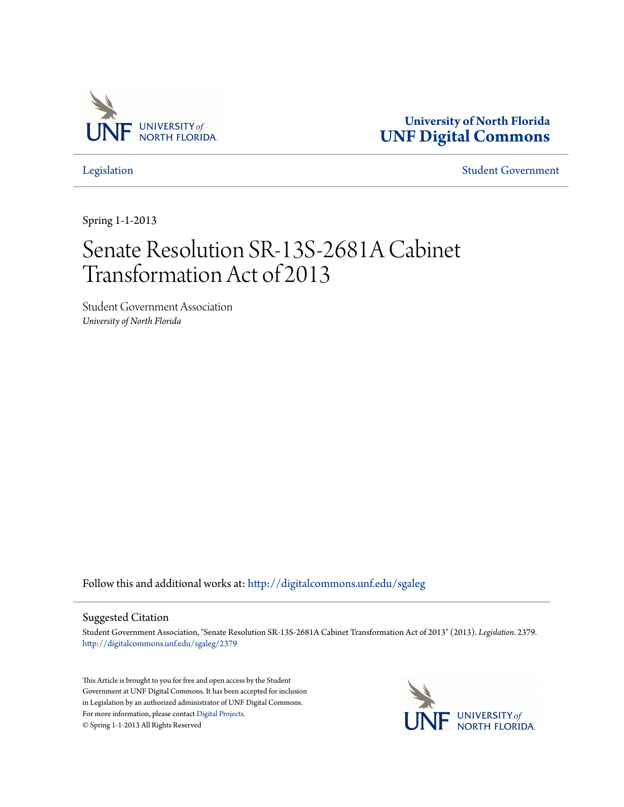

**University of North Florida [UNF Digital Commons](http://digitalcommons.unf.edu?utm_source=digitalcommons.unf.edu%2Fsgaleg%2F2379&utm_medium=PDF&utm_campaign=PDFCoverPages)**

[Legislation](http://digitalcommons.unf.edu/sgaleg?utm_source=digitalcommons.unf.edu%2Fsgaleg%2F2379&utm_medium=PDF&utm_campaign=PDFCoverPages) [Student Government](http://digitalcommons.unf.edu/sga?utm_source=digitalcommons.unf.edu%2Fsgaleg%2F2379&utm_medium=PDF&utm_campaign=PDFCoverPages)

Spring 1-1-2013

## Senate Resolution SR-13S-2681A Cabinet Transformation Act of 2013

Student Government Association *University of North Florida*

Follow this and additional works at: [http://digitalcommons.unf.edu/sgaleg](http://digitalcommons.unf.edu/sgaleg?utm_source=digitalcommons.unf.edu%2Fsgaleg%2F2379&utm_medium=PDF&utm_campaign=PDFCoverPages)

## Suggested Citation

Student Government Association, "Senate Resolution SR-13S-2681A Cabinet Transformation Act of 2013" (2013). *Legislation*. 2379. [http://digitalcommons.unf.edu/sgaleg/2379](http://digitalcommons.unf.edu/sgaleg/2379?utm_source=digitalcommons.unf.edu%2Fsgaleg%2F2379&utm_medium=PDF&utm_campaign=PDFCoverPages)

This Article is brought to you for free and open access by the Student Government at UNF Digital Commons. It has been accepted for inclusion in Legislation by an authorized administrator of UNF Digital Commons. For more information, please contact [Digital Projects](mailto:lib-digital@unf.edu). © Spring 1-1-2013 All Rights Reserved

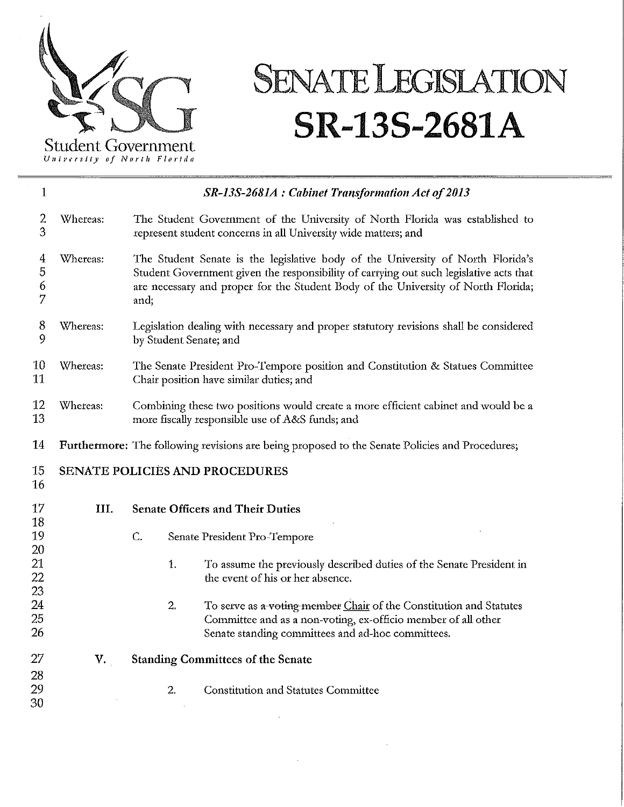

## **SENATE LEGISlATION SR-13S-2681A**

U11i~···rsfty *of North Florida* 

| $\mathbf 1$          |                                                                                                |                                                                                                                                                                                                                                                                        | SR-13S-2681A : Cabinet Transformation Act of 2013                                                                                                                                        |  |
|----------------------|------------------------------------------------------------------------------------------------|------------------------------------------------------------------------------------------------------------------------------------------------------------------------------------------------------------------------------------------------------------------------|------------------------------------------------------------------------------------------------------------------------------------------------------------------------------------------|--|
| $\overline{c}$<br>3  | Whereas:                                                                                       | The Student Government of the University of North Florida was established to<br>represent student concerns in all University wide matters; and                                                                                                                         |                                                                                                                                                                                          |  |
| 4<br>5<br>6<br>7     | Whereas:                                                                                       | The Student Senate is the legislative body of the University of North Florida's<br>Student Government given the responsibility of carrying out such legislative acts that<br>are necessary and proper for the Student Body of the University of North Florida;<br>and; |                                                                                                                                                                                          |  |
| 8<br>9               | Whereas:                                                                                       | Legislation dealing with necessary and proper statutory revisions shall be considered<br>by Student Senate; and                                                                                                                                                        |                                                                                                                                                                                          |  |
| 10<br>11             | Whereas:                                                                                       | The Senate President Pro-Tempore position and Constitution & Statues Committee<br>Chair position have similar duties; and                                                                                                                                              |                                                                                                                                                                                          |  |
| 12<br>13             | Whereas:                                                                                       | Combining these two positions would create a more efficient cabinet and would be a<br>more fiscally responsible use of A&S funds; and                                                                                                                                  |                                                                                                                                                                                          |  |
| 14                   | Furthermore: The following revisions are being proposed to the Senate Policies and Procedures; |                                                                                                                                                                                                                                                                        |                                                                                                                                                                                          |  |
| 15<br>16             | <b>SENATE POLICIES AND PROCEDURES</b>                                                          |                                                                                                                                                                                                                                                                        |                                                                                                                                                                                          |  |
| 17                   | III.                                                                                           | <b>Senate Officers and Their Duties</b>                                                                                                                                                                                                                                |                                                                                                                                                                                          |  |
| 18<br>19             |                                                                                                | C.                                                                                                                                                                                                                                                                     | Senate President Pro-Tempore                                                                                                                                                             |  |
| 20<br>21<br>22<br>23 |                                                                                                | 1.                                                                                                                                                                                                                                                                     | To assume the previously described duties of the Senate President in<br>the event of his or her absence.                                                                                 |  |
| 24<br>25<br>26       |                                                                                                | 2.                                                                                                                                                                                                                                                                     | To serve as a voting member Chair of the Constitution and Statutes<br>Committee and as a non-voting, ex-officio member of all other<br>Senate standing committees and ad-hoc committees. |  |
| 27                   | V.                                                                                             | <b>Standing Committees of the Senate</b>                                                                                                                                                                                                                               |                                                                                                                                                                                          |  |
| 28<br>29<br>30       |                                                                                                | 2.                                                                                                                                                                                                                                                                     | <b>Constitution and Statutes Committee</b>                                                                                                                                               |  |